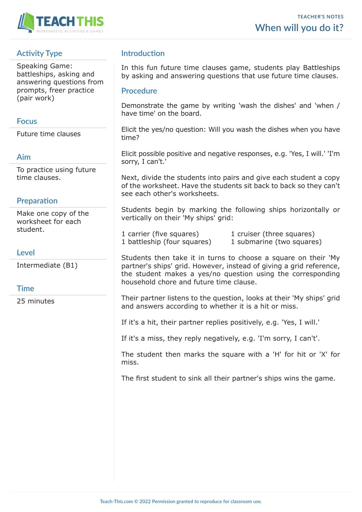

# **Activity Type**

Speaking Game: battleships, asking and answering questions from prompts, freer practice (pair work)

#### **Focus**

Future time clauses

#### **Aim**

To practice using future time clauses.

## **Preparation**

Make one copy of the worksheet for each student.

## **Level**

Intermediate (B1)

## **Time**

25 minutes

# **Introduction**

In this fun future time clauses game, students play Battleships by asking and answering questions that use future time clauses.

#### **Procedure**

Demonstrate the game by writing 'wash the dishes' and 'when / have time' on the board.

Elicit the yes/no question: Will you wash the dishes when you have time?

Elicit possible positive and negative responses, e.g. 'Yes, I will.' 'I'm sorry, I can't.'

Next, divide the students into pairs and give each student a copy of the worksheet. Have the students sit back to back so they can't see each other's worksheets.

Students begin by marking the following ships horizontally or vertically on their 'My ships' grid:

1 carrier (five squares) 1 cruiser (three squares)

- 
- 1 battleship (four squares) 1 submarine (two squares)

Students then take it in turns to choose a square on their 'My partner's ships' grid. However, instead of giving a grid reference, the student makes a yes/no question using the corresponding household chore and future time clause.

Their partner listens to the question, looks at their 'My ships' grid and answers according to whether it is a hit or miss.

If it's a hit, their partner replies positively, e.g. 'Yes, I will.'

If it's a miss, they reply negatively, e.g. 'I'm sorry, I can't'.

The student then marks the square with a 'H' for hit or 'X' for miss.

The first student to sink all their partner's ships wins the game.